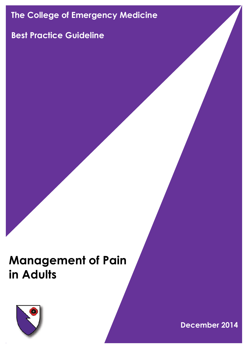# **The College of Emergency Medicine**

## **Best Practice Guideline**

# **Management of Pain in Adults**



**December 2014**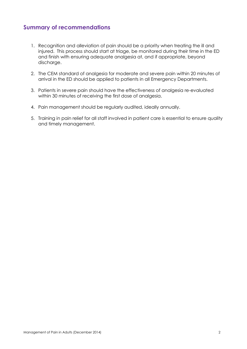## **Summary of recommendations**

- 1. Recognition and alleviation of pain should be a priority when treating the ill and injured. This process should start at triage, be monitored during their time in the ED and finish with ensuring adequate analgesia at, and if appropriate, beyond discharge.
- 2. The CEM standard of analgesia for moderate and severe pain within 20 minutes of arrival in the ED should be applied to patients in all Emergency Departments.
- 3. Patients in severe pain should have the effectiveness of analgesia re-evaluated within 30 minutes of receiving the first dose of analgesia.
- 4. Pain management should be regularly audited, ideally annually.
- 5. Training in pain relief for all staff involved in patient care is essential to ensure quality and timely management.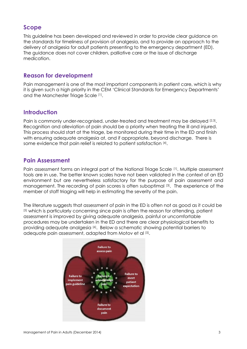## **Scope**

This guideline has been developed and reviewed in order to provide clear guidance on the standards for timeliness of provision of analgesia, and to provide an approach to the delivery of analgesia for adult patients presenting to the emergency department (ED). The guidance does not cover children, palliative care or the issue of discharge medication.

## **Reason for development**

Pain management is one of the most important components in patient care, which is why it is given such a high priority in the CEM 'Clinical Standards for Emergency Departments' and the Manchester Triage Scale [1].

## **Introduction**

Pain is commonly under-recognised, under-treated and treatment may be delayed [2,3]. Recognition and alleviation of pain should be a priority when treating the ill and injured. This process should start at the triage, be monitored during their time in the ED and finish with ensuring adequate analgesia at, and if appropriate, beyond discharge. There is some evidence that pain relief is related to patient satisfaction [4].

## **Pain Assessment**

Pain assessment forms an integral part of the National Triage Scale [1]. Multiple assessment tools are in use. The better known scales have not been validated in the context of an ED environment but are nevertheless satisfactory for the purpose of pain assessment and management. The recording of pain scores is often suboptimal [3]. The experience of the member of staff triaging will help in estimating the severity of the pain.

The literature suggests that assessment of pain in the ED is often not as good as it could be [5] which is particularly concerning since pain is often the reason for attending, patient assessment is improved by giving adequate analgesia, painful or uncomfortable procedures may be undertaken in the ED and there are clear physiological benefits to providing adequate analgesia [6]. Below a schematic showing potential barriers to adequate pain assessment, adapted from Motov et al [5].

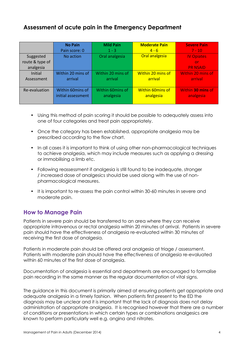## **Assessment of acute pain in the Emergency Department**

|                 | <b>No Pain</b>     | <b>Mild Pain</b>  | <b>Moderate Pain</b>    | <b>Severe Pain</b> |
|-----------------|--------------------|-------------------|-------------------------|--------------------|
|                 | Pain score: 0      | $1 - 3$           | $4 - 6$                 | $7 - 10$           |
| Suggested       | No action          | Oral analgesia    | Oral analgesia          | <b>IV Opiates</b>  |
| route & type of |                    |                   |                         | or                 |
| analgesia       |                    |                   |                         | <b>PR NSAID</b>    |
| Initial         | Within 20 mins of  | Within 20 mins of | Within 20 mins of       | Within 20 mins of  |
| Assessment      | arrival            | arrival           | arrival                 | arrival            |
|                 |                    |                   |                         |                    |
| Re-evaluation   | Within 60mins of   | Within 60mins of  | <b>Within 60mins of</b> | Within 30 mins of  |
|                 | initial assessment | analgesia         | analgesia               | analgesia          |
|                 |                    |                   |                         |                    |

- Using this method of pain scoring it should be possible to adequately assess into one of four categories and treat pain appropriately.
- Once the category has been established, appropriate analgesia may be prescribed according to the flow chart.
- In all cases it is important to think of using other non-pharmacological techniques to achieve analgesia, which may include measures such as applying a dressing or immobilising a limb etc.
- Following reassessment if analgesia is still found to be inadequate, stronger / increased dose of analgesics should be used along with the use of nonpharmacological measures.
- It is important to re-assess the pain control within 30-60 minutes in severe and moderate pain.

## **How to Manage Pain**

Patients in severe pain should be transferred to an area where they can receive appropriate intravenous or rectal analgesia within 20 minutes of arrival. Patients in severe pain should have the effectiveness of analgesia re-evaluated within 30 minutes of receiving the first dose of analgesia.

Patients in moderate pain should be offered oral analgesia at triage / assessment. Patients with moderate pain should have the effectiveness of analgesia re-evaluated within 60 minutes of the first dose of analgesia.

Documentation of analgesia is essential and departments are encouraged to formalise pain recording in the same manner as the regular documentation of vital signs.

The guidance in this document is primarily aimed at ensuring patients get appropriate and adequate analgesia in a timely fashion. When patients first present to the ED the diagnosis may be unclear and it is important that the lack of diagnosis does not delay administration of appropriate analgesia. It is recognised however that there are a number of conditions or presentations in which certain types or combinations analgesics are known to perform particularly well e.g. angina and nitrates.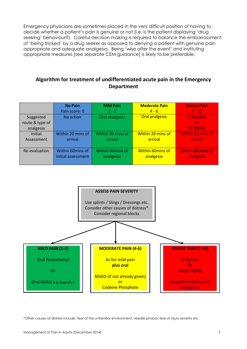Emergency physicians are sometimes placed in the very difficult position of having to decide whether a patient's pain is genuine or not (i.e. is the patient displaying 'drug seeking' behaviour?). Careful decision making is required to balance the embarrassment of 'being tricked' by a drug seeker as opposed to denying a patient with genuine pain appropriate and adequate analgesia. Being 'wise after the event' and instituting appropriate measures [see separate CEM guidance] is likely to be preferable.

### **Algorithm for treatment of undifferentiated acute pain in the Emergency Department**

|                 | <b>No Pain</b>     | <b>Mild Pain</b>  | <b>Moderate Pain</b>     | <b>Severe Pain</b> |
|-----------------|--------------------|-------------------|--------------------------|--------------------|
|                 | Pain score: 0      | $1 - 3$           | $4 - 6$                  | $7 - 10$           |
| Suggested       | No action          | Oral analgesia    | Oral analgesia           | <b>IV Opiates</b>  |
| route & type of |                    |                   |                          | or                 |
| analgesia       |                    |                   |                          | <b>PR NSAID</b>    |
| Initial         | Within 20 mins of  | Within 20 mins of | <b>Within 20 mins of</b> | Within 20 mins of  |
| Assessment      | arrival            | arrival           | arrival                  | arrival            |
|                 |                    |                   |                          |                    |
| Re-evaluation   | Within 60mins of   | Within 60mins of  | <b>Within 60mins of</b>  | Within 30 mins of  |
|                 | initial assessment | analgesia         | analgesia                | analgesia          |
|                 |                    |                   |                          |                    |



\*Other causes of distress include: fear of the unfamiliar environment, needle phobia, fear of injury severity etc. r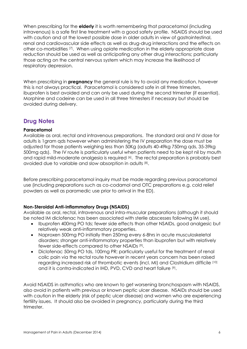When prescribing for the **elderly** it is worth remembering that paracetamol (including intravenous) is a safe first line treatment with a good safety profile. NSAIDS should be used with caution and at the lowest possible dose in older adults in view of gastrointestinal, renal and cardiovascular side effects as well as drug-drug interactions and the effects on other co-morbidities [7]. When using opiate medication in the elderly appropriate dose reduction should be used as well as anticipating any other drug interactions; particularly those acting on the central nervous system which may increase the likelihood of respiratory depression.

When prescribing in **pregnancy** the general rule is try to avoid any medication, however this is not always practical. Paracetamol is considered safe in all three trimesters, ibuprofen is best avoided and can only be used during the second trimester (if essential). Morphine and codeine can be used in all three trimesters if necessary but should be avoided during delivery.

## **Drug Notes**

#### **Paracetamol**

Available as oral, rectal and intravenous preparations. The standard oral and IV dose for adults is 1gram qds however when administering the IV preparation the dose must be adjusted for those patients weighing less than 50Kg (adults 40-49kg 750mg qds, 35-39kg 500mg qds). The IV route is particularly useful when patients need to be kept nil by mouth and rapid mild-moderate analgesia is required [6]. The rectal preparation is probably best avoided due to variable and slow absorption in adults [8].

Before prescribing paracetamol inquiry must be made regarding previous paracetamol use (including preparations such as co-codamol and OTC preparations e.g. cold relief powders as well as paramedic use prior to arrival in the ED).

#### **Non-Steroidal Anti-inflammatory Drugs (NSAIDS)**

Available as oral, rectal, intravenous and intra-muscular preparations (although it should be noted IM diclofenac has been associated with sterile abscesses following IM use).

- Ibuprofen 400mg PO tds; fewer side effects than other NSAIDs, good analgesic but relatively weak anti-inflammatory properties.
- Naproxen 500mg PO initially then 250mg every 6-8hrs in acute musculoskeletal disorders; stronger anti-inflammatory properties than ibuprofen but with relatively fewer side-effects compared to other NSAIDs<sup>[9]</sup>.
- Diclofenac 50mg PO tds, 100mg PR; particularly useful for the treatment of renal colic pain via the rectal route however in recent years concern has been raised regarding increased risk of thrombotic events (incl. MI) and Clostridium difficile [10] and it is contra-indicated in IHD, PVD, CVD and heart failure [9].

Avoid NSAIDS in asthmatics who are known to get worsening bronchospasm with NSAIDS, also avoid in patients with previous or known peptic ulcer disease. NSAIDs should be used with caution in the elderly (risk of peptic ulcer disease) and women who are experiencing fertility issues. It should also be avoided in pregnancy, particularly during the third trimester.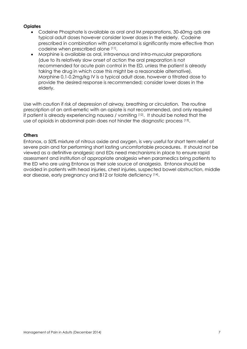#### **Opiates**

- Codeine Phosphate is available as oral and IM preparations, 30-60mg qds are typical adult doses however consider lower doses in the elderly. Codeine prescribed in combination with paracetamol is significantly more effective than codeine when prescribed alone [11] .
- Morphine is available as oral, intravenous and intra-muscular preparations (due to its relatively slow onset of action the oral preparation is not recommended for acute pain control in the ED, unless the patient is already taking the drug in which case this might be a reasonable alternative). Morphine 0.1-0.2mg/kg IV is a typical adult dose, however a titrated dose to provide the desired response is recommended; consider lower doses in the elderly.

Use with caution if risk of depression of airway, breathing or circulation. The routine prescription of an anti-emetic with an opiate is not recommended, and only required if patient is already experiencing nausea / vomiting [12]. It should be noted that the use of opioids in abdominal pain does not hinder the diagnostic process [13] .

#### **Others**

Entonox, a 50% mixture of nitrous oxide and oxygen, is very useful for short term relief of severe pain and for performing short lasting uncomfortable procedures. It should not be viewed as a definitive analgesic and EDs need mechanisms in place to ensure rapid assessment and institution of appropriate analgesia when paramedics bring patients to the ED who are using Entonox as their sole source of analgesia. Entonox should be avoided in patients with head injuries, chest injuries, suspected bowel obstruction, middle ear disease, early pregnancy and B12 or folate deficiency [14].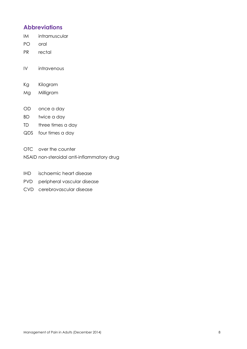## **Abbreviations**

IM intramuscular

- PO oral
- PR rectal

IV intravenous

- Kg Kilogram
- Mg Milligram
- OD once a day
- BD twice a day
- TD three times a day
- QDS four times a day
- OTC over the counter
- NSAID non-steroidal anti-inflammatory drug
- IHD ischaemic heart disease
- PVD peripheral vascular disease
- CVD cerebrovascular disease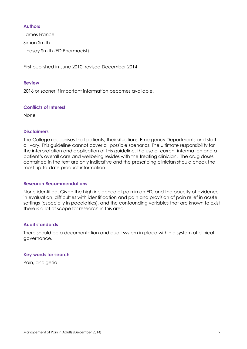#### **Authors**

James France Simon Smith Lindsay Smith (ED Pharmacist)

First published in June 2010, revised December 2014

#### **Review**

2016 or sooner if important information becomes available.

#### **Conflicts of Interest**

None

#### **Disclaimers**

The College recognises that patients, their situations, Emergency Departments and staff all vary. This guideline cannot cover all possible scenarios. The ultimate responsibility for the interpretation and application of this guideline, the use of current information and a patient's overall care and wellbeing resides with the treating clinician. The drug doses contained in the text are only indicative and the prescribing clinician should check the most up-to-date product information.

#### **Research Recommendations**

None identified. Given the high incidence of pain in an ED, and the paucity of evidence in evaluation, difficulties with identification and pain and provision of pain relief in acute settings (especially in paediatrics), and the confounding variables that are known to exist there is a lot of scope for research in this area.

#### **Audit standards**

There should be a documentation and audit system in place within a system of clinical governance.

#### **Key words for search**

Pain, analgesia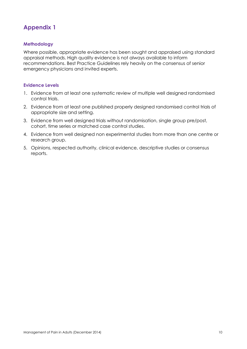## **Appendix 1**

#### **Methodology**

Where possible, appropriate evidence has been sought and appraised using standard appraisal methods. High quality evidence is not always available to inform recommendations. Best Practice Guidelines rely heavily on the consensus of senior emergency physicians and invited experts.

#### **Evidence Levels**

- 1. Evidence from at least one systematic review of multiple well designed randomised control trials.
- 2. Evidence from at least one published properly designed randomised control trials of appropriate size and setting.
- 3. Evidence from well designed trials without randomisation, single group pre/post, cohort, time series or matched case control studies.
- 4. Evidence from well designed non experimental studies from more than one centre or research group.
- 5. Opinions, respected authority, clinical evidence, descriptive studies or consensus reports.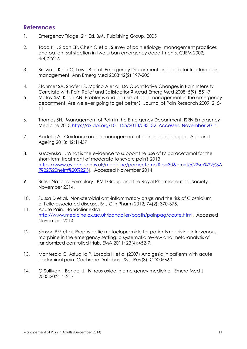## **References**

- 1. Emergency Triage, 2<sup>nd</sup> Ed. BMJ Publishing Group, 2005
- 2. Todd KH, Sloan EP, Chen C et al. Survey of pain etiology, management practices and patient satisfaction in two urban emergency departments. CJEM 2002; 4(4):252-6
- 3. Brown J, Klein C, Lewis B et al. Emergency Department analgesia for fracture pain management. Ann Emerg Med 2003;42(2):197-205
- 4. Stahmer SA, Shofer FS, Marino A et al. Do Quantitative Changes in Pain Intensity Correlate with Pain Relief and Satisfaction? Acad Emerg Med 2008; 5(9): 851-7
- 5. Motov SM, Khan AN. Problems and barriers of pain management in the emergency department: Are we ever going to get better? Journal of Pain Research 2009; 2: 5- 11
- 6. Thomas SH. Management of Pain in the Emergency Department. ISRN Emergency Medicine 2013 [http://dx.doi.org/10.1155/2013/583132. Accessed November 2014](http://dx.doi.org/10.1155/2013/583132.%20Accessed%20November%202014)
- 7. Abdulla A. Guidance on the management of pain in older people. Age and Ageing 2013; 42: i1-i57
- 8. Kuczynska J. What is the evidence to support the use of IV paracetamol for the short-term treatment of moderate to severe pain? 2013 [https://www.evidence.nhs.uk/medicine/paracetamol?ps=30&om=\[{%22srn%22%3A](https://www.evidence.nhs.uk/medicine/paracetamol?ps=30&om=%5b%7b%22srn%22%3A%5b%22%20nelm%20%22%5d%7d) [\[%22%20nelm%20%22\]}\]](https://www.evidence.nhs.uk/medicine/paracetamol?ps=30&om=%5b%7b%22srn%22%3A%5b%22%20nelm%20%22%5d%7d). Accessed November 2014
- 9. British National Formulary. BMJ Group and the Royal Pharmaceutical Society. November 2014.
- 10. Suissa D et al. Non-steroidal anti-inflammatory drugs and the risk of Clostridium difficile-associated disease. Br J Clin Pharm 2012; 74(2): 370-375.
- 11. Acute Pain. Bandolier extra [http://www.medicine.ox.ac.uk/bandolier/booth/painpag/acute.html.](http://www.medicine.ox.ac.uk/bandolier/booth/painpag/acute.html) Accessed November 2014.
- 12. Simson PM et al. Prophylactic metoclopramide for patients receiving intravenous morphine in the emergency setting: a systematic review and meta-analysis of randomized controlled trials. EMA 2011; 23(4):452-7.
- 13. Manterola C, Astudillo P, Losada H et al (2007) Analgesia in patients with acute abdominal pain. Cochrane Database Syst Rev(3): CD005660.
- 14. O'Sullivan I, Benger J. Nitrous oxide in emergency medicine. Emerg Med J 2003;20:214–217